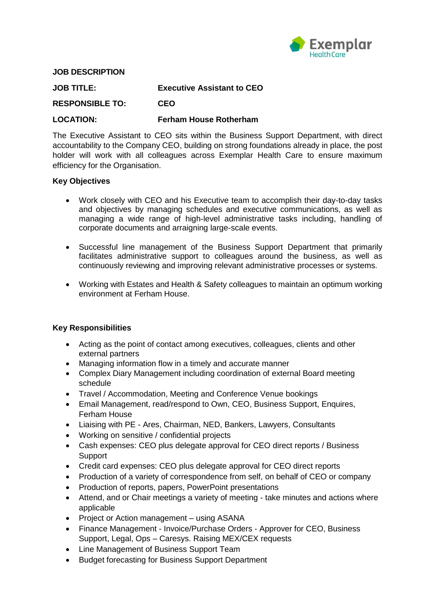

#### **JOB DESCRIPTION**

| <b>JOB TITLE:</b>      | <b>Executive Assistant to CEO</b> |
|------------------------|-----------------------------------|
| <b>RESPONSIBLE TO:</b> | <b>CEO</b>                        |
| <b>LOCATION:</b>       | <b>Ferham House Rotherham</b>     |

The Executive Assistant to CEO sits within the Business Support Department, with direct accountability to the Company CEO, building on strong foundations already in place, the post holder will work with all colleagues across Exemplar Health Care to ensure maximum efficiency for the Organisation.

#### **Key Objectives**

- Work closely with CEO and his Executive team to accomplish their day-to-day tasks and objectives by managing schedules and executive communications, as well as managing a wide range of high-level administrative tasks including, handling of corporate documents and arraigning large-scale events.
- Successful line management of the Business Support Department that primarily facilitates administrative support to colleagues around the business, as well as continuously reviewing and improving relevant administrative processes or systems.
- Working with Estates and Health & Safety colleagues to maintain an optimum working environment at Ferham House.

#### **Key Responsibilities**

- Acting as the point of contact among executives, colleagues, clients and other external partners
- Managing information flow in a timely and accurate manner
- Complex Diary Management including coordination of external Board meeting schedule
- Travel / Accommodation, Meeting and Conference Venue bookings
- Email Management, read/respond to Own, CEO, Business Support, Enquires, Ferham House
- Liaising with PE Ares, Chairman, NED, Bankers, Lawyers, Consultants
- Working on sensitive / confidential projects
- Cash expenses: CEO plus delegate approval for CEO direct reports / Business **Support**
- Credit card expenses: CEO plus delegate approval for CEO direct reports
- Production of a variety of correspondence from self, on behalf of CEO or company
- Production of reports, papers, PowerPoint presentations
- Attend, and or Chair meetings a variety of meeting take minutes and actions where applicable
- Project or Action management using ASANA
- Finance Management Invoice/Purchase Orders Approver for CEO, Business Support, Legal, Ops – Caresys. Raising MEX/CEX requests
- Line Management of Business Support Team
- Budget forecasting for Business Support Department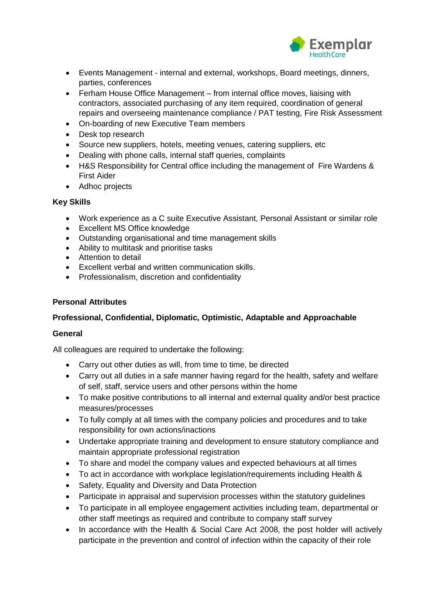

- Events Management internal and external, workshops, Board meetings, dinners, parties, conferences
- Ferham House Office Management from internal office moves, liaising with contractors, associated purchasing of any item required, coordination of general repairs and overseeing maintenance compliance / PAT testing, Fire Risk Assessment
- On-boarding of new Executive Team members
- Desk top research
- Source new suppliers, hotels, meeting venues, catering suppliers, etc
- Dealing with phone calls, internal staff queries, complaints
- H&S Responsibility for Central office including the management of Fire Wardens & First Aider
- Adhoc projects

# **Key Skills**

- Work experience as a C suite Executive Assistant, Personal Assistant or similar role
- Excellent MS Office knowledge
- Outstanding organisational and time management skills
- Ability to multitask and prioritise tasks
- Attention to detail
- Excellent verbal and written communication skills.
- Professionalism, discretion and confidentiality

# **Personal Attributes**

# **Professional, Confidential, Diplomatic, Optimistic, Adaptable and Approachable**

# **General**

All colleagues are required to undertake the following:

- Carry out other duties as will, from time to time, be directed
- Carry out all duties in a safe manner having regard for the health, safety and welfare of self, staff, service users and other persons within the home
- To make positive contributions to all internal and external quality and/or best practice measures/processes
- To fully comply at all times with the company policies and procedures and to take responsibility for own actions/inactions
- Undertake appropriate training and development to ensure statutory compliance and maintain appropriate professional registration
- To share and model the company values and expected behaviours at all times
- To act in accordance with workplace legislation/requirements including Health &
- Safety, Equality and Diversity and Data Protection
- Participate in appraisal and supervision processes within the statutory guidelines
- To participate in all employee engagement activities including team, departmental or other staff meetings as required and contribute to company staff survey
- In accordance with the Health & Social Care Act 2008, the post holder will actively participate in the prevention and control of infection within the capacity of their role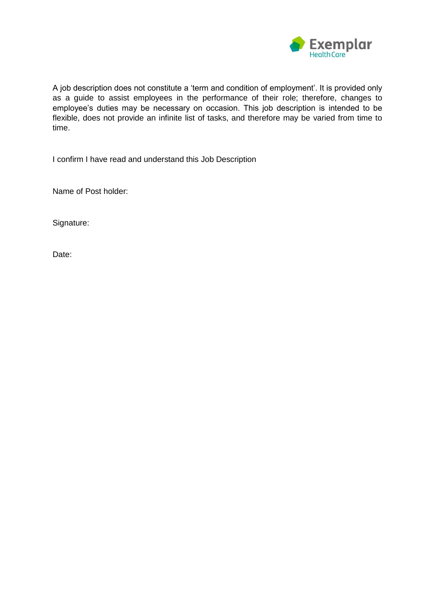

A job description does not constitute a 'term and condition of employment'. It is provided only as a guide to assist employees in the performance of their role; therefore, changes to employee's duties may be necessary on occasion. This job description is intended to be flexible, does not provide an infinite list of tasks, and therefore may be varied from time to time.

I confirm I have read and understand this Job Description

Name of Post holder:

Signature:

Date: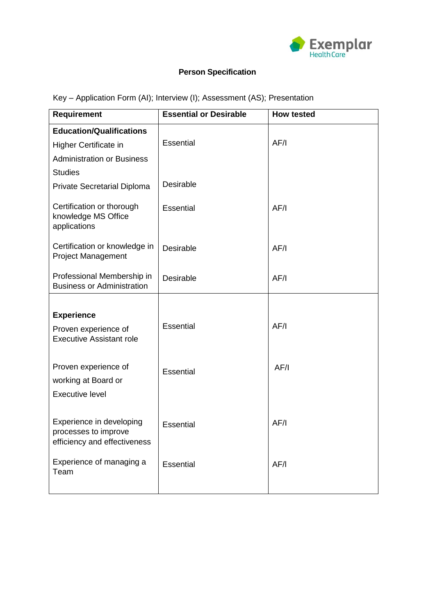

# **Person Specification**

Key – Application Form (AI); Interview (I); Assessment (AS); Presentation

| <b>Requirement</b>                                                               | <b>Essential or Desirable</b> | <b>How tested</b> |
|----------------------------------------------------------------------------------|-------------------------------|-------------------|
| <b>Education/Qualifications</b>                                                  |                               |                   |
| Higher Certificate in                                                            | <b>Essential</b>              | AF/I              |
| <b>Administration or Business</b>                                                |                               |                   |
| <b>Studies</b>                                                                   |                               |                   |
| <b>Private Secretarial Diploma</b>                                               | Desirable                     |                   |
| Certification or thorough<br>knowledge MS Office<br>applications                 | Essential                     | AF/I              |
| Certification or knowledge in<br><b>Project Management</b>                       | Desirable                     | AF/I              |
| Professional Membership in<br><b>Business or Administration</b>                  | Desirable                     | AF/I              |
|                                                                                  |                               |                   |
| <b>Experience</b>                                                                |                               |                   |
| Proven experience of<br><b>Executive Assistant role</b>                          | Essential                     | AF/I              |
|                                                                                  |                               |                   |
| Proven experience of<br>working at Board or<br><b>Executive level</b>            | Essential                     | AF/I              |
| Experience in developing<br>processes to improve<br>efficiency and effectiveness | <b>Essential</b>              | AF/I              |
| Experience of managing a<br>Team                                                 | Essential                     | AF/I              |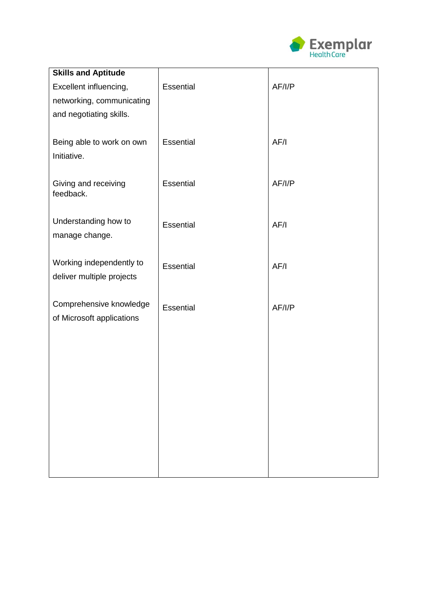

| <b>Skills and Aptitude</b><br>Excellent influencing, | Essential | AF/I/P |
|------------------------------------------------------|-----------|--------|
| networking, communicating                            |           |        |
| and negotiating skills.                              |           |        |
|                                                      |           |        |
| Being able to work on own<br>Initiative.             | Essential | AF/I   |
|                                                      |           |        |
| Giving and receiving                                 | Essential | AF/I/P |
| feedback.                                            |           |        |
| Understanding how to                                 | Essential | AF/I   |
| manage change.                                       |           |        |
| Working independently to                             |           |        |
| deliver multiple projects                            | Essential | AF/I   |
|                                                      |           |        |
| Comprehensive knowledge<br>of Microsoft applications | Essential | AF/I/P |
|                                                      |           |        |
|                                                      |           |        |
|                                                      |           |        |
|                                                      |           |        |
|                                                      |           |        |
|                                                      |           |        |
|                                                      |           |        |
|                                                      |           |        |
|                                                      |           |        |